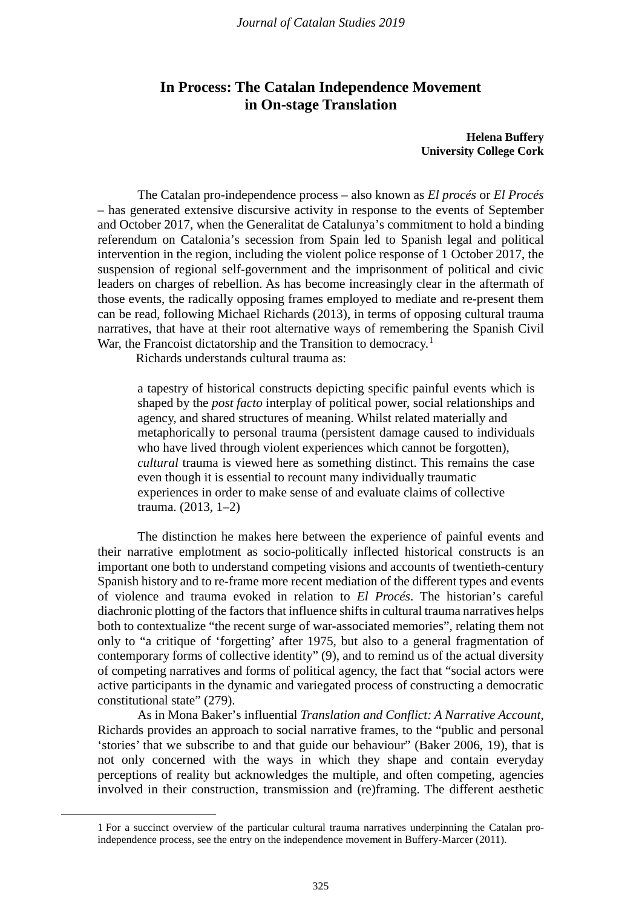# **In Process: The Catalan Independence Movement in On-stage Translation**

**Helena Buffery University College Cork**

The Catalan pro-independence process – also known as *El procés* or *El Procés* – has generated extensive discursive activity in response to the events of September and October 2017, when the Generalitat de Catalunya's commitment to hold a binding referendum on Catalonia's secession from Spain led to Spanish legal and political intervention in the region, including the violent police response of 1 October 2017, the suspension of regional self-government and the imprisonment of political and civic leaders on charges of rebellion. As has become increasingly clear in the aftermath of those events, the radically opposing frames employed to mediate and re-present them can be read, following Michael Richards (2013), in terms of opposing cultural trauma narratives, that have at their root alternative ways of remembering the Spanish Civil War, the Francoist dictatorship and the Transition to democracy.<sup>[1](#page-0-0)</sup>

Richards understands cultural trauma as:

a tapestry of historical constructs depicting specific painful events which is shaped by the *post facto* interplay of political power, social relationships and agency, and shared structures of meaning. Whilst related materially and metaphorically to personal trauma (persistent damage caused to individuals who have lived through violent experiences which cannot be forgotten), *cultural* trauma is viewed here as something distinct. This remains the case even though it is essential to recount many individually traumatic experiences in order to make sense of and evaluate claims of collective trauma. (2013, 1–2)

The distinction he makes here between the experience of painful events and their narrative emplotment as socio-politically inflected historical constructs is an important one both to understand competing visions and accounts of twentieth-century Spanish history and to re-frame more recent mediation of the different types and events of violence and trauma evoked in relation to *El Procés*. The historian's careful diachronic plotting of the factors that influence shifts in cultural trauma narratives helps both to contextualize "the recent surge of war-associated memories", relating them not only to "a critique of 'forgetting' after 1975, but also to a general fragmentation of contemporary forms of collective identity" (9), and to remind us of the actual diversity of competing narratives and forms of political agency, the fact that "social actors were active participants in the dynamic and variegated process of constructing a democratic constitutional state" (279).

As in Mona Baker's influential *Translation and Conflict: A Narrative Account*, Richards provides an approach to social narrative frames, to the "public and personal 'stories' that we subscribe to and that guide our behaviour" (Baker 2006, 19), that is not only concerned with the ways in which they shape and contain everyday perceptions of reality but acknowledges the multiple, and often competing, agencies involved in their construction, transmission and (re)framing. The different aesthetic

<span id="page-0-0"></span> <sup>1</sup> For a succinct overview of the particular cultural trauma narratives underpinning the Catalan proindependence process, see the entry on the independence movement in Buffery-Marcer (2011).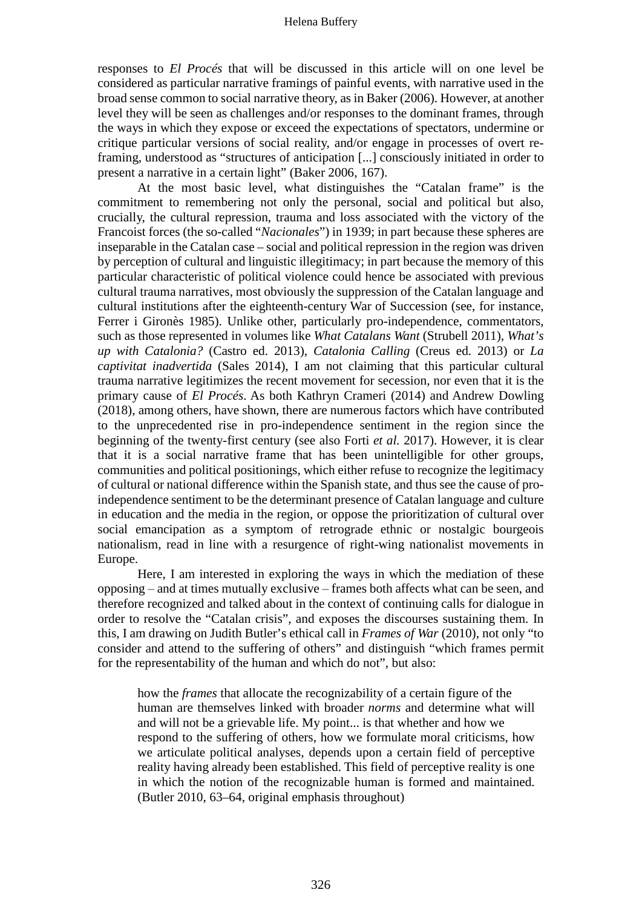responses to *El Procés* that will be discussed in this article will on one level be considered as particular narrative framings of painful events, with narrative used in the broad sense common to social narrative theory, as in Baker (2006). However, at another level they will be seen as challenges and/or responses to the dominant frames, through the ways in which they expose or exceed the expectations of spectators, undermine or critique particular versions of social reality, and/or engage in processes of overt reframing, understood as "structures of anticipation [...] consciously initiated in order to present a narrative in a certain light" (Baker 2006, 167).

At the most basic level, what distinguishes the "Catalan frame" is the commitment to remembering not only the personal, social and political but also, crucially, the cultural repression, trauma and loss associated with the victory of the Francoist forces (the so-called "*Nacionales*") in 1939; in part because these spheres are inseparable in the Catalan case – social and political repression in the region was driven by perception of cultural and linguistic illegitimacy; in part because the memory of this particular characteristic of political violence could hence be associated with previous cultural trauma narratives, most obviously the suppression of the Catalan language and cultural institutions after the eighteenth-century War of Succession (see, for instance, Ferrer i Gironès 1985). Unlike other, particularly pro-independence, commentators, such as those represented in volumes like *What Catalans Want* (Strubell 2011), *What's up with Catalonia?* (Castro ed. 2013), *Catalonia Calling* (Creus ed. 2013) or *La captivitat inadvertida* (Sales 2014), I am not claiming that this particular cultural trauma narrative legitimizes the recent movement for secession, nor even that it is the primary cause of *El Procés*. As both Kathryn Crameri (2014) and Andrew Dowling (2018), among others, have shown, there are numerous factors which have contributed to the unprecedented rise in pro-independence sentiment in the region since the beginning of the twenty-first century (see also Forti *et al.* 2017). However, it is clear that it is a social narrative frame that has been unintelligible for other groups, communities and political positionings, which either refuse to recognize the legitimacy of cultural or national difference within the Spanish state, and thus see the cause of proindependence sentiment to be the determinant presence of Catalan language and culture in education and the media in the region, or oppose the prioritization of cultural over social emancipation as a symptom of retrograde ethnic or nostalgic bourgeois nationalism, read in line with a resurgence of right-wing nationalist movements in Europe.

Here, I am interested in exploring the ways in which the mediation of these opposing ‒ and at times mutually exclusive ‒ frames both affects what can be seen, and therefore recognized and talked about in the context of continuing calls for dialogue in order to resolve the "Catalan crisis", and exposes the discourses sustaining them. In this, I am drawing on Judith Butler's ethical call in *Frames of War* (2010), not only "to consider and attend to the suffering of others" and distinguish "which frames permit for the representability of the human and which do not", but also:

how the *frames* that allocate the recognizability of a certain figure of the human are themselves linked with broader *norms* and determine what will and will not be a grievable life. My point... is that whether and how we respond to the suffering of others, how we formulate moral criticisms, how we articulate political analyses, depends upon a certain field of perceptive reality having already been established. This field of perceptive reality is one in which the notion of the recognizable human is formed and maintained. (Butler 2010, 63–64, original emphasis throughout)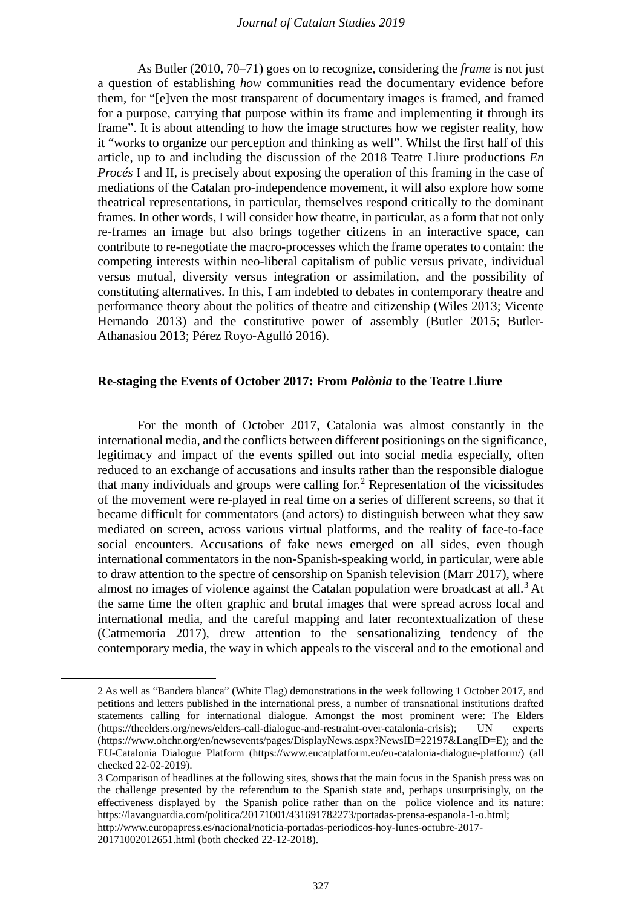As Butler (2010, 70–71) goes on to recognize, considering the *frame* is not just a question of establishing *how* communities read the documentary evidence before them, for "[e]ven the most transparent of documentary images is framed, and framed for a purpose, carrying that purpose within its frame and implementing it through its frame". It is about attending to how the image structures how we register reality, how it "works to organize our perception and thinking as well". Whilst the first half of this article, up to and including the discussion of the 2018 Teatre Lliure productions *En Procés* I and II, is precisely about exposing the operation of this framing in the case of mediations of the Catalan pro-independence movement, it will also explore how some theatrical representations, in particular, themselves respond critically to the dominant frames. In other words, I will consider how theatre, in particular, as a form that not only re-frames an image but also brings together citizens in an interactive space, can contribute to re-negotiate the macro-processes which the frame operates to contain: the competing interests within neo-liberal capitalism of public versus private, individual versus mutual, diversity versus integration or assimilation, and the possibility of constituting alternatives. In this, I am indebted to debates in contemporary theatre and performance theory about the politics of theatre and citizenship (Wiles 2013; Vicente Hernando 2013) and the constitutive power of assembly (Butler 2015; Butler-Athanasiou 2013; Pérez Royo-Agulló 2016).

# **Re-staging the Events of October 2017: From** *Polònia* **to the Teatre Lliure**

For the month of October 2017, Catalonia was almost constantly in the international media, and the conflicts between different positionings on the significance, legitimacy and impact of the events spilled out into social media especially, often reduced to an exchange of accusations and insults rather than the responsible dialogue that many individuals and groups were calling for.<sup>[2](#page-2-0)</sup> Representation of the vicissitudes of the movement were re-played in real time on a series of different screens, so that it became difficult for commentators (and actors) to distinguish between what they saw mediated on screen, across various virtual platforms, and the reality of face-to-face social encounters. Accusations of fake news emerged on all sides, even though international commentators in the non-Spanish-speaking world, in particular, were able to draw attention to the spectre of censorship on Spanish television (Marr 2017), where almost no images of violence against the Catalan population were broadcast at all.<sup>[3](#page-2-1)</sup> At the same time the often graphic and brutal images that were spread across local and international media, and the careful mapping and later recontextualization of these (Catmemoria 2017), drew attention to the sensationalizing tendency of the contemporary media, the way in which appeals to the visceral and to the emotional and

<span id="page-2-0"></span> <sup>2</sup> As well as "Bandera blanca" (White Flag) demonstrations in the week following 1 October 2017, and petitions and letters published in the international press, a number of transnational institutions drafted statements calling for international dialogue. Amongst the most prominent were: The Elders (https://theelders.org/news/elders-call-dialogue-and-restraint-over-catalonia-crisis); UN experts (https://www.ohchr.org/en/newsevents/pages/DisplayNews.aspx?NewsID=22197&LangID=E); and the EU-Catalonia Dialogue Platform [\(https://www.eucatplatform.eu/eu-catalonia-dialogue-platform/\)](https://www.eucatplatform.eu/eu-catalonia-dialogue-platform/) (all checked 22-02-2019).

<span id="page-2-1"></span><sup>3</sup> Comparison of headlines at the following sites, shows that the main focus in the Spanish press was on the challenge presented by the referendum to the Spanish state and, perhaps unsurprisingly, on the effectiveness displayed by the Spanish police rather than on the police violence and its nature: https://lavanguardia.com/politica/20171001/431691782273/portadas-prensa-espanola-1-o.html; http://www.europapress.es/nacional/noticia-portadas-periodicos-hoy-lunes-octubre-2017-

<sup>20171002012651.</sup>html (both checked 22-12-2018).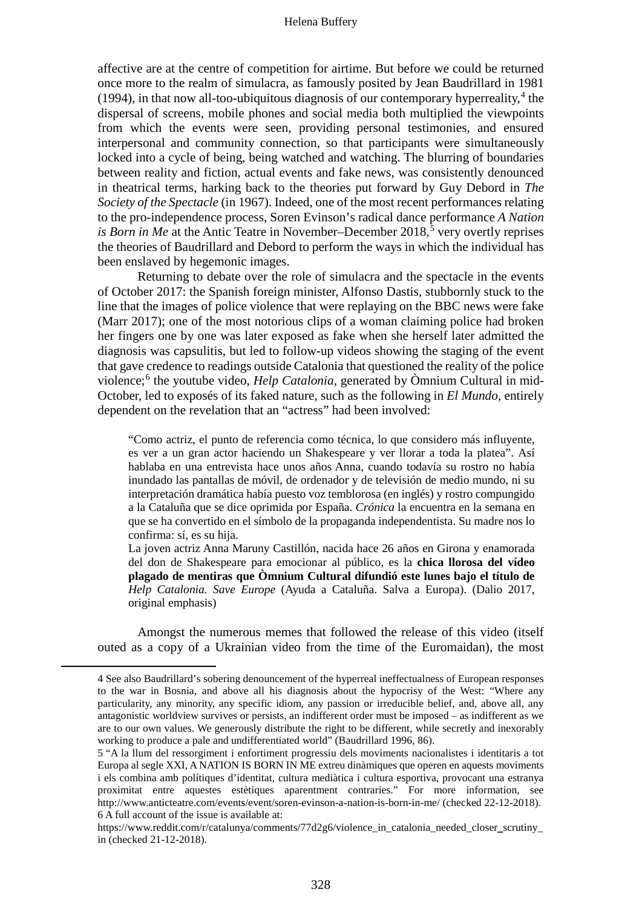affective are at the centre of competition for airtime. But before we could be returned once more to the realm of simulacra, as famously posited by Jean Baudrillard in 1981 (199[4](#page-3-0)), in that now all-too-ubiquitous diagnosis of our contemporary hyperreality, $4$  the dispersal of screens, mobile phones and social media both multiplied the viewpoints from which the events were seen, providing personal testimonies, and ensured interpersonal and community connection, so that participants were simultaneously locked into a cycle of being, being watched and watching. The blurring of boundaries between reality and fiction, actual events and fake news, was consistently denounced in theatrical terms, harking back to the theories put forward by Guy Debord in *The Society of the Spectacle* (in 1967). Indeed, one of the most recent performances relating to the pro-independence process, Soren Evinson's radical dance performance *A Nation is Born in Me* at the Antic Teatre in November–December 2018,<sup>[5](#page-3-1)</sup> very overtly reprises the theories of Baudrillard and Debord to perform the ways in which the individual has been enslaved by hegemonic images.

Returning to debate over the role of simulacra and the spectacle in the events of October 2017: the Spanish foreign minister, Alfonso Dastis, stubbornly stuck to the line that the images of police violence that were replaying on the BBC news were fake (Marr 2017); one of the most notorious clips of a woman claiming police had broken her fingers one by one was later exposed as fake when she herself later admitted the diagnosis was capsulitis, but led to follow-up videos showing the staging of the event that gave credence to readings outside Catalonia that questioned the reality of the police violence;[6](#page-3-2) the youtube video, *Help Catalonia*, generated by Òmnium Cultural in mid-October, led to exposés of its faked nature, such as the following in *El Mundo*, entirely dependent on the revelation that an "actress" had been involved:

"Como actriz, el punto de referencia como técnica, lo que considero más influyente, es ver a un gran actor haciendo un Shakespeare y ver llorar a toda la platea". Así hablaba en una entrevista hace unos años Anna, cuando todavía su rostro no había inundado las pantallas de móvil, de ordenador y de televisión de medio mundo, [ni su](https://www.elmundo.es/opinion/2017/10/21/59ea41d7e2704e621e8b465d.html)  interpretación dramática había puesto voz [temblorosa \(en inglés\) y rostro compungido](https://www.elmundo.es/opinion/2017/10/21/59ea41d7e2704e621e8b465d.html)  [a la Cataluña](https://www.elmundo.es/opinion/2017/10/21/59ea41d7e2704e621e8b465d.html) que se dice oprimida por España. *Crónica* la encuentra en la semana en que se ha convertido en el símbolo de la propaganda independentista. Su madre nos lo confirma: sí, es su hija.

La joven actriz Anna Maruny Castillón, nacida hace 26 años en Girona y enamorada del don de Shakespeare para emocionar al público, es la **chica llorosa del vídeo plagado de mentiras que Òmnium Cultural difundió este lunes bajo el título de**  *Help Catalonia. Save Europe* (Ayuda a Cataluña. Salva a Europa). (Dalio 2017, original emphasis)

Amongst the numerous memes that followed the release of this video (itself outed as a copy of a Ukrainian video from the time of the Euromaidan), the most

<span id="page-3-0"></span> <sup>4</sup> See also Baudrillard's sobering denouncement of the hyperreal ineffectualness of European responses to the war in Bosnia, and above all his diagnosis about the hypocrisy of the West: "Where any particularity, any minority, any specific idiom, any passion or irreducible belief, and, above all, any antagonistic worldview survives or persists, an indifferent order must be imposed – as indifferent as we are to our own values. We generously distribute the right to be different, while secretly and inexorably working to produce a pale and undifferentiated world" (Baudrillard 1996, 86).

<span id="page-3-1"></span><sup>5</sup> "A la llum del ressorgiment i enfortiment progressiu dels moviments nacionalistes i identitaris a tot Europa al segle XXI, A NATION IS BORN IN ME extreu dinàmiques que operen en aquests moviments i els combina amb polítiques d'identitat, cultura mediàtica i cultura esportiva, provocant una estranya proximitat entre aquestes estètiques aparentment contraries." For more information, see http://www.anticteatre.com/events/event/soren-evinson-a-nation-is-born-in-me/ (checked 22-12-2018). 6 A full account of the issue is available at:

<span id="page-3-2"></span>https://www.reddit.com/r/catalunya/comments/77d2g6/violence\_in\_catalonia\_needed\_close[r\\_s](https://www.reddit.com/r/catalunya/comments/77d2g6/violence_in_catalonia_needed_closer_scrutiny)crutiny\_ in (checked 21-12-2018).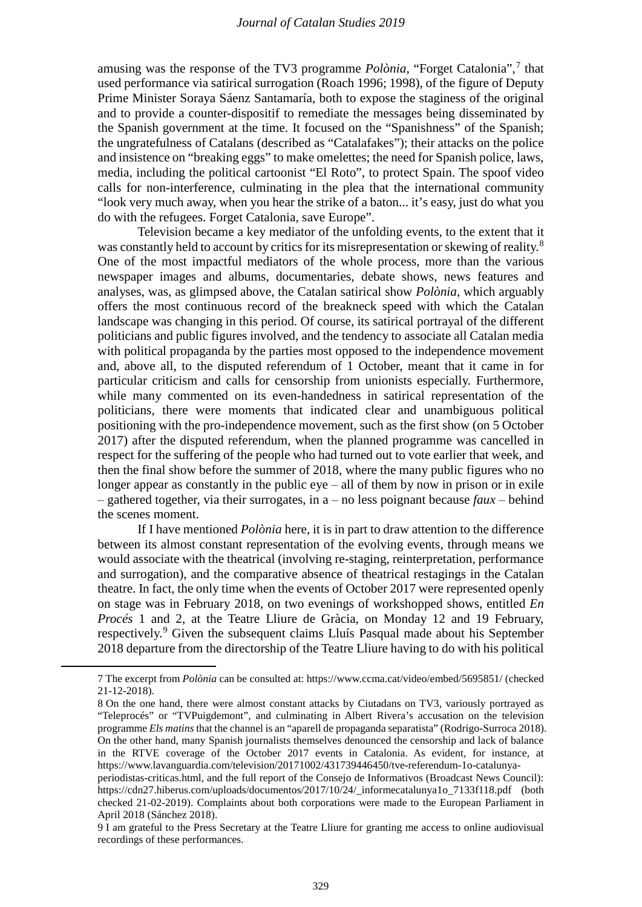amusing was the response of the TV3 programme *Polònia*, "Forget Catalonia",[7](#page-4-0) that used performance via satirical surrogation (Roach 1996; 1998), of the figure of Deputy Prime Minister Soraya Sáenz Santamaría, both to expose the staginess of the original and to provide a counter-dispositif to remediate the messages being disseminated by the Spanish government at the time. It focused on the "Spanishness" of the Spanish; the ungratefulness of Catalans (described as "Catalafakes"); their attacks on the police and insistence on "breaking eggs" to make omelettes; the need for Spanish police, laws, media, including the political cartoonist "El Roto", to protect Spain. The spoof video calls for non-interference, culminating in the plea that the international community "look very much away, when you hear the strike of a baton... it's easy, just do what you do with the refugees. Forget Catalonia, save Europe".

Television became a key mediator of the unfolding events, to the extent that it was constantly held to account by critics for its misrepresentation or skewing of reality.<sup>[8](#page-4-1)</sup> One of the most impactful mediators of the whole process, more than the various newspaper images and albums, documentaries, debate shows, news features and analyses, was, as glimpsed above, the Catalan satirical show *Polònia*, which arguably offers the most continuous record of the breakneck speed with which the Catalan landscape was changing in this period. Of course, its satirical portrayal of the different politicians and public figures involved, and the tendency to associate all Catalan media with political propaganda by the parties most opposed to the independence movement and, above all, to the disputed referendum of 1 October, meant that it came in for particular criticism and calls for censorship from unionists especially. Furthermore, while many commented on its even-handedness in satirical representation of the politicians, there were moments that indicated clear and unambiguous political positioning with the pro-independence movement, such as the first show (on 5 October 2017) after the disputed referendum, when the planned programme was cancelled in respect for the suffering of the people who had turned out to vote earlier that week, and then the final show before the summer of 2018, where the many public figures who no longer appear as constantly in the public  $eye - all$  of them by now in prison or in exile  $-$  gathered together, via their surrogates, in a  $-$  no less poignant because *faux*  $-$  behind the scenes moment.

If I have mentioned *Polònia* here, it is in part to draw attention to the difference between its almost constant representation of the evolving events, through means we would associate with the theatrical (involving re-staging, reinterpretation, performance and surrogation), and the comparative absence of theatrical restagings in the Catalan theatre. In fact, the only time when the events of October 2017 were represented openly on stage was in February 2018, on two evenings of workshopped shows, entitled *En Procés* 1 and 2, at the Teatre Lliure de Gràcia, on Monday 12 and 19 February, respectively.[9](#page-4-2) Given the subsequent claims Lluís Pasqual made about his September 2018 departure from the directorship of the Teatre Lliure having to do with his political

<span id="page-4-0"></span> <sup>7</sup> The excerpt from *Polònia* can be consulted at: https://www.ccma.cat/video/embed/5695851/ (checked 21-12-2018).

<span id="page-4-1"></span><sup>8</sup> On the one hand, there were almost constant attacks by Ciutadans on TV3, variously portrayed as "Teleprocés" or "TVPuigdemont", and culminating in Albert Rivera's accusation on the television programme *Els matins* that the channel is an "aparell de propaganda separatista" (Rodrigo-Surroca 2018). On the other hand, many Spanish journalists themselves denounced the censorship and lack of balance in the RTVE coverage of the October 2017 events in Catalonia. As evident, for instance, at https://www.lavanguardia.com/television/20171002/431739446450/tve-referendum-1o-catalunya-

periodistas-criticas.html, and the full report of the Consejo de Informativos (Broadcast News Council): https://cdn27.hiberus.com/uploads/documentos/2017/10/24/\_informecatalunya1o\_7133f118.pdf (both checked 21-02-2019). Complaints about both corporations were made to the European Parliament in April 2018 (Sánchez 2018).

<span id="page-4-2"></span><sup>9</sup> I am grateful to the Press Secretary at the Teatre Lliure for granting me access to online audiovisual recordings of these performances.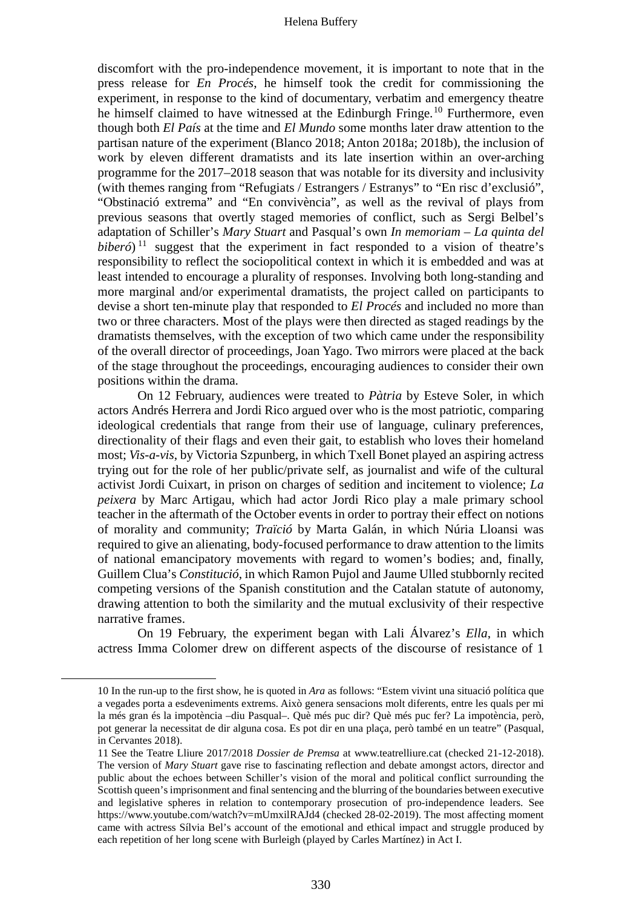discomfort with the pro-independence movement, it is important to note that in the press release for *En Procés*, he himself took the credit for commissioning the experiment, in response to the kind of documentary, verbatim and emergency theatre he himself claimed to have witnessed at the Edinburgh Fringe.<sup>[10](#page-5-0)</sup> Furthermore, even though both *El País* at the time and *El Mundo* some months later draw attention to the partisan nature of the experiment (Blanco 2018; Anton 2018a; 2018b), the inclusion of work by eleven different dramatists and its late insertion within an over-arching programme for the 2017–2018 season that was notable for its diversity and inclusivity (with themes ranging from "Refugiats / Estrangers / Estranys" to "En risc d'exclusió", "Obstinació extrema" and "En convivència", as well as the revival of plays from previous seasons that overtly staged memories of conflict, such as Sergi Belbel's adaptation of Schiller's *Mary Stuart* and Pasqual's own *In memoriam – La quinta del biberó*)<sup> $11$ </sup> suggest that the experiment in fact responded to a vision of theatre's responsibility to reflect the sociopolitical context in which it is embedded and was at least intended to encourage a plurality of responses. Involving both long-standing and more marginal and/or experimental dramatists, the project called on participants to devise a short ten-minute play that responded to *El Procés* and included no more than two or three characters. Most of the plays were then directed as staged readings by the dramatists themselves, with the exception of two which came under the responsibility of the overall director of proceedings, Joan Yago. Two mirrors were placed at the back of the stage throughout the proceedings, encouraging audiences to consider their own positions within the drama.

On 12 February, audiences were treated to *Pàtria* by Esteve Soler, in which actors Andrés Herrera and Jordi Rico argued over who is the most patriotic, comparing ideological credentials that range from their use of language, culinary preferences, directionality of their flags and even their gait, to establish who loves their homeland most; *Vis-a-vis*, by Victoria Szpunberg, in which Txell Bonet played an aspiring actress trying out for the role of her public/private self, as journalist and wife of the cultural activist Jordi Cuixart, in prison on charges of sedition and incitement to violence; *La peixera* by Marc Artigau, which had actor Jordi Rico play a male primary school teacher in the aftermath of the October events in order to portray their effect on notions of morality and community; *Traïció* by Marta Galán, in which Núria Lloansi was required to give an alienating, body-focused performance to draw attention to the limits of national emancipatory movements with regard to women's bodies; and, finally, Guillem Clua's *Constitució*, in which Ramon Pujol and Jaume Ulled stubbornly recited competing versions of the Spanish constitution and the Catalan statute of autonomy, drawing attention to both the similarity and the mutual exclusivity of their respective narrative frames.

On 19 February, the experiment began with Lali Álvarez's *Ella*, in which actress Imma Colomer drew on different aspects of the discourse of resistance of 1

<span id="page-5-0"></span> <sup>10</sup> In the run-up to the first show, he is quoted in *Ara* as follows: "Estem vivint una situació política que a vegades porta a esdeveniments extrems. Això genera sensacions molt diferents, entre les quals per mi la més gran és la impotència –diu Pasqual–. Què més puc dir? Què més puc fer? La impotència, però, pot generar la necessitat de dir alguna cosa. Es pot dir en una plaça, però també en un teatre" (Pasqual, in Cervantes 2018).

<span id="page-5-1"></span><sup>11</sup> See the Teatre Lliure 2017/2018 *Dossier de Premsa* at www.teatrelliure.cat (checked 21-12-2018). The version of *Mary Stuart* gave rise to fascinating reflection and debate amongst actors, director and public about the echoes between Schiller's vision of the moral and political conflict surrounding the Scottish queen's imprisonment and final sentencing and the blurring of the boundaries between executive and legislative spheres in relation to contemporary prosecution of pro-independence leaders. See https://www.youtube.com/watch?v=mUmxilRAJd4 (checked 28-02-2019). The most affecting moment came with actress Sílvia Bel's account of the emotional and ethical impact and struggle produced by each repetition of her long scene with Burleigh (played by Carles Martínez) in Act I.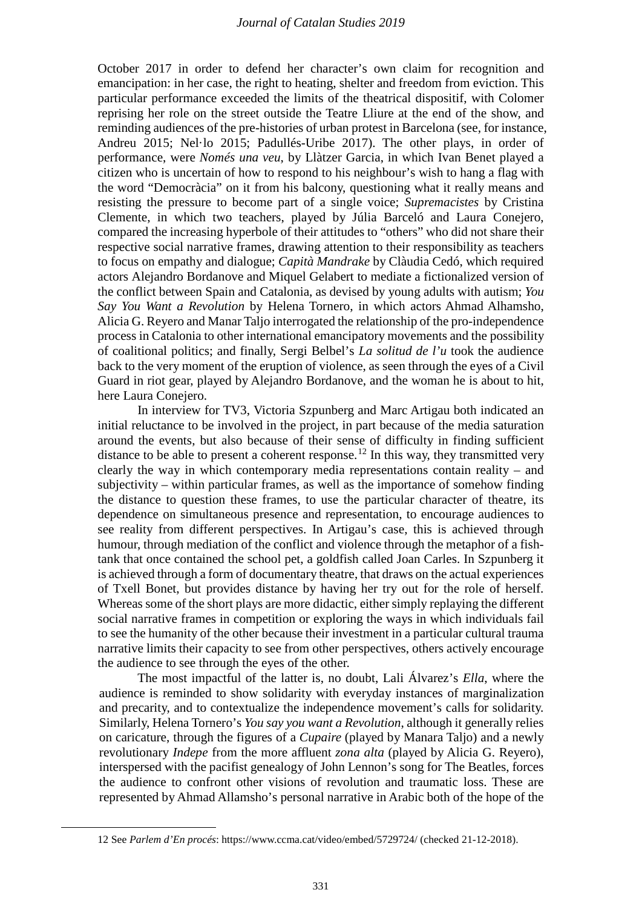October 2017 in order to defend her character's own claim for recognition and emancipation: in her case, the right to heating, shelter and freedom from eviction. This particular performance exceeded the limits of the theatrical dispositif, with Colomer reprising her role on the street outside the Teatre Lliure at the end of the show, and reminding audiences of the pre-histories of urban protest in Barcelona (see, for instance, Andreu 2015; Nel·lo 2015; Padullés-Uribe 2017). The other plays, in order of performance, were *Només una veu*, by Llàtzer Garcia, in which Ivan Benet played a citizen who is uncertain of how to respond to his neighbour's wish to hang a flag with the word "Democràcia" on it from his balcony, questioning what it really means and resisting the pressure to become part of a single voice; *Supremacistes* by Cristina Clemente, in which two teachers, played by Júlia Barceló and Laura Conejero, compared the increasing hyperbole of their attitudes to "others" who did not share their respective social narrative frames, drawing attention to their responsibility as teachers to focus on empathy and dialogue; *Capità Mandrake* by Clàudia Cedó, which required actors Alejandro Bordanove and Miquel Gelabert to mediate a fictionalized version of the conflict between Spain and Catalonia, as devised by young adults with autism; *You Say You Want a Revolution* by Helena Tornero, in which actors Ahmad Alhamsho, Alicia G. Reyero and Manar Taljo interrogated the relationship of the pro-independence process in Catalonia to other international emancipatory movements and the possibility of coalitional politics; and finally, Sergi Belbel's *La solitud de l'u* took the audience back to the very moment of the eruption of violence, as seen through the eyes of a Civil Guard in riot gear, played by Alejandro Bordanove, and the woman he is about to hit, here Laura Conejero.

In interview for TV3, Victoria Szpunberg and Marc Artigau both indicated an initial reluctance to be involved in the project, in part because of the media saturation around the events, but also because of their sense of difficulty in finding sufficient distance to be able to present a coherent response.<sup>[12](#page-6-0)</sup> In this way, they transmitted very clearly the way in which contemporary media representations contain reality – and subjectivity – within particular frames, as well as the importance of somehow finding the distance to question these frames, to use the particular character of theatre, its dependence on simultaneous presence and representation, to encourage audiences to see reality from different perspectives. In Artigau's case, this is achieved through humour, through mediation of the conflict and violence through the metaphor of a fishtank that once contained the school pet, a goldfish called Joan Carles. In Szpunberg it is achieved through a form of documentary theatre, that draws on the actual experiences of Txell Bonet, but provides distance by having her try out for the role of herself. Whereas some of the short plays are more didactic, either simply replaying the different social narrative frames in competition or exploring the ways in which individuals fail to see the humanity of the other because their investment in a particular cultural trauma narrative limits their capacity to see from other perspectives, others actively encourage the audience to see through the eyes of the other.

The most impactful of the latter is, no doubt, Lali Álvarez's *Ella*, where the audience is reminded to show solidarity with everyday instances of marginalization and precarity, and to contextualize the independence movement's calls for solidarity. Similarly, Helena Tornero's *You say you want a Revolution*, although it generally relies on caricature, through the figures of a *Cupaire* (played by Manara Taljo) and a newly revolutionary *Indepe* from the more affluent *zona alta* (played by Alicia G. Reyero), interspersed with the pacifist genealogy of John Lennon's song for The Beatles, forces the audience to confront other visions of revolution and traumatic loss. These are represented by Ahmad Allamsho's personal narrative in Arabic both of the hope of the

<span id="page-6-0"></span> <sup>12</sup> See *Parlem d'En procés*: https://www.ccma.cat/video/embed/5729724/ (checked 21-12-2018).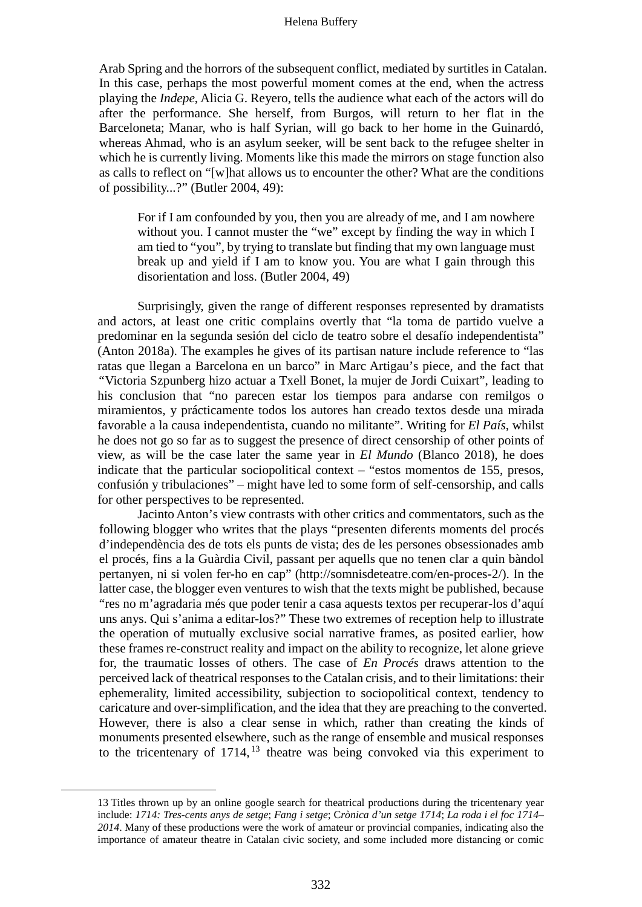Arab Spring and the horrors of the subsequent conflict, mediated by surtitles in Catalan. In this case, perhaps the most powerful moment comes at the end, when the actress playing the *Indepe*, Alicia G. Reyero, tells the audience what each of the actors will do after the performance. She herself, from Burgos, will return to her flat in the Barceloneta; Manar, who is half Syrian, will go back to her home in the Guinardó, whereas Ahmad, who is an asylum seeker, will be sent back to the refugee shelter in which he is currently living. Moments like this made the mirrors on stage function also as calls to reflect on "[w]hat allows us to encounter the other? What are the conditions of possibility...?" (Butler 2004, 49):

For if I am confounded by you, then you are already of me, and I am nowhere without you. I cannot muster the "we" except by finding the way in which I am tied to "you", by trying to translate but finding that my own language must break up and yield if I am to know you. You are what I gain through this disorientation and loss. (Butler 2004, 49)

Surprisingly, given the range of different responses represented by dramatists and actors, at least one critic complains overtly that "la toma de partido vuelve a predominar en la segunda sesión del ciclo de teatro sobre el desafío independentista" (Anton 2018a). The examples he gives of its partisan nature include reference to "las ratas que llegan a Barcelona en un barco" in Marc Artigau's piece, and the fact that *"*Victoria Szpunberg hizo actuar a Txell Bonet, la mujer de Jordi Cuixart", leading to his conclusion that "no parecen estar los tiempos para andarse con remilgos o miramientos, y prácticamente todos los autores han creado textos desde una mirada favorable a la causa independentista, cuando no militante". Writing for *El País*, whilst he does not go so far as to suggest the presence of direct censorship of other points of view, as will be the case later the same year in *El Mundo* (Blanco 2018), he does indicate that the particular sociopolitical context  $-$  "estos momentos de 155, presos, confusión y tribulaciones" – might have led to some form of self-censorship, and calls for other perspectives to be represented.

Jacinto Anton's view contrasts with other critics and commentators, such as the following blogger who writes that the plays "presenten diferents moments del procés d'independència des de tots els punts de vista; des de les persones obsessionades amb el procés, fins a la Guàrdia Civil, passant per aquells que no tenen clar a quin bàndol pertanyen, ni si volen fer-ho en cap" (http://somnisdeteatre.com/en-proces-2/). In the latter case, the blogger even ventures to wish that the texts might be published, because "res no m'agradaria més que poder tenir a casa aquests textos per recuperar-los d'aquí uns anys. Qui s'anima a editar-los?" These two extremes of reception help to illustrate the operation of mutually exclusive social narrative frames, as posited earlier, how these frames re-construct reality and impact on the ability to recognize, let alone grieve for, the traumatic losses of others. The case of *En Procés* draws attention to the perceived lack of theatrical responses to the Catalan crisis, and to their limitations: their ephemerality, limited accessibility, subjection to sociopolitical context, tendency to caricature and over-simplification, and the idea that they are preaching to the converted. However, there is also a clear sense in which, rather than creating the kinds of monuments presented elsewhere, such as the range of ensemble and musical responses to the tricentenary of  $1714$ ,  $13$  theatre was being convoked via this experiment to

<span id="page-7-0"></span> <sup>13</sup> Titles thrown up by an online google search for theatrical productions during the tricentenary year include: *1714: Tres-cents anys de setge*; *Fang i setge*; C*rònica d'un setge 1714*; *La roda i el foc 1714*– *2014*. Many of these productions were the work of amateur or provincial companies, indicating also the importance of amateur theatre in Catalan civic society, and some included more distancing or comic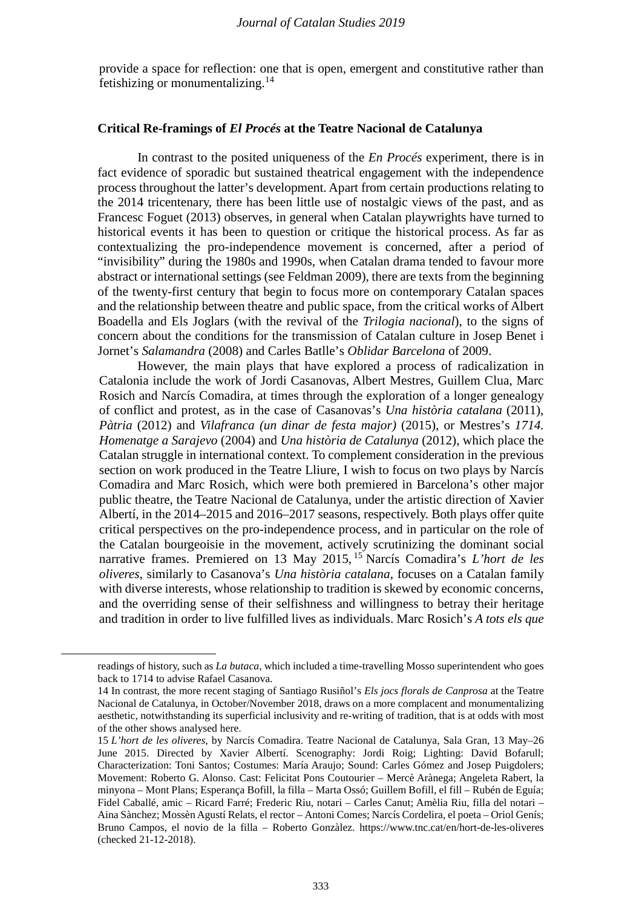provide a space for reflection: one that is open, emergent and constitutive rather than fetishizing or monumentalizing.[14](#page-8-0)

# **Critical Re-framings of** *El Procés* **at the Teatre Nacional de Catalunya**

In contrast to the posited uniqueness of the *En Procés* experiment, there is in fact evidence of sporadic but sustained theatrical engagement with the independence process throughout the latter's development. Apart from certain productions relating to the 2014 tricentenary, there has been little use of nostalgic views of the past, and as Francesc Foguet (2013) observes, in general when Catalan playwrights have turned to historical events it has been to question or critique the historical process. As far as contextualizing the pro-independence movement is concerned, after a period of "invisibility" during the 1980s and 1990s, when Catalan drama tended to favour more abstract or international settings (see Feldman 2009), there are texts from the beginning of the twenty-first century that begin to focus more on contemporary Catalan spaces and the relationship between theatre and public space, from the critical works of Albert Boadella and Els Joglars (with the revival of the *Trilogia nacional*), to the signs of concern about the conditions for the transmission of Catalan culture in Josep Benet i Jornet's *Salamandra* (2008) and Carles Batlle's *Oblidar Barcelona* of 2009.

However, the main plays that have explored a process of radicalization in Catalonia include the work of Jordi Casanovas, Albert Mestres, Guillem Clua, Marc Rosich and Narcís Comadira, at times through the exploration of a longer genealogy of conflict and protest, as in the case of Casanovas's *Una història catalana* (2011), *Pàtria* (2012) and *Vilafranca (un dinar de festa major)* (2015), or Mestres's *1714. Homenatge a Sarajevo* (2004) and *Una història de Catalunya* (2012), which place the Catalan struggle in international context. To complement consideration in the previous section on work produced in the Teatre Lliure, I wish to focus on two plays by Narcís Comadira and Marc Rosich, which were both premiered in Barcelona's other major public theatre, the Teatre Nacional de Catalunya, under the artistic direction of Xavier Albertí, in the 2014–2015 and 2016–2017 seasons, respectively. Both plays offer quite critical perspectives on the pro-independence process, and in particular on the role of the Catalan bourgeoisie in the movement, actively scrutinizing the dominant social narrative frames. Premiered on 13 May 2015, [15](#page-8-1) Narcís Comadira's *L'hort de les oliveres*, similarly to Casanova's *Una història catalana*, focuses on a Catalan family with diverse interests, whose relationship to tradition is skewed by economic concerns, and the overriding sense of their selfishness and willingness to betray their heritage and tradition in order to live fulfilled lives as individuals. Marc Rosich's *A tots els que* 

<span id="page-8-0"></span>-

readings of history, such as *La butaca*, which included a time-travelling Mosso superintendent who goes back to 1714 to advise Rafael Casanova.

<sup>14</sup> In contrast, the more recent staging of Santiago Rusiñol's *Els jocs florals de Canprosa* at the Teatre Nacional de Catalunya, in October/November 2018, draws on a more complacent and monumentalizing aesthetic, notwithstanding its superficial inclusivity and re-writing of tradition, that is at odds with most of the other shows analysed here.

<span id="page-8-1"></span><sup>15</sup> *L'hort de les oliveres*, by Narcís Comadira. Teatre Nacional de Catalunya, Sala Gran, 13 May–26 June 2015. Directed by Xavier Albertí. Scenography: Jordi Roig; Lighting: David Bofarull; Characterization: Toni Santos; Costumes: María Araujo; Sound: Carles Gómez and Josep Puigdolers; Movement: Roberto G. Alonso. Cast: Felicitat Pons Coutourier – Mercè Arànega; Angeleta Rabert, la minyona – Mont Plans; Esperança Bofill, la filla – Marta Ossó; Guillem Bofill, el fill – Rubén de Eguía; Fidel Caballé, amic – Ricard Farré; Frederic Riu, notari – Carles Canut; Amèlia Riu, filla del notari – Aina Sànchez; Mossèn Agustí Relats, el rector – Antoni Comes; Narcís Cordelira, el poeta – Oriol Genís; Bruno Campos, el novio de la filla – Roberto Gonzàlez. https://www.tnc.cat/en/hort-de-les-oliveres (checked 21-12-2018).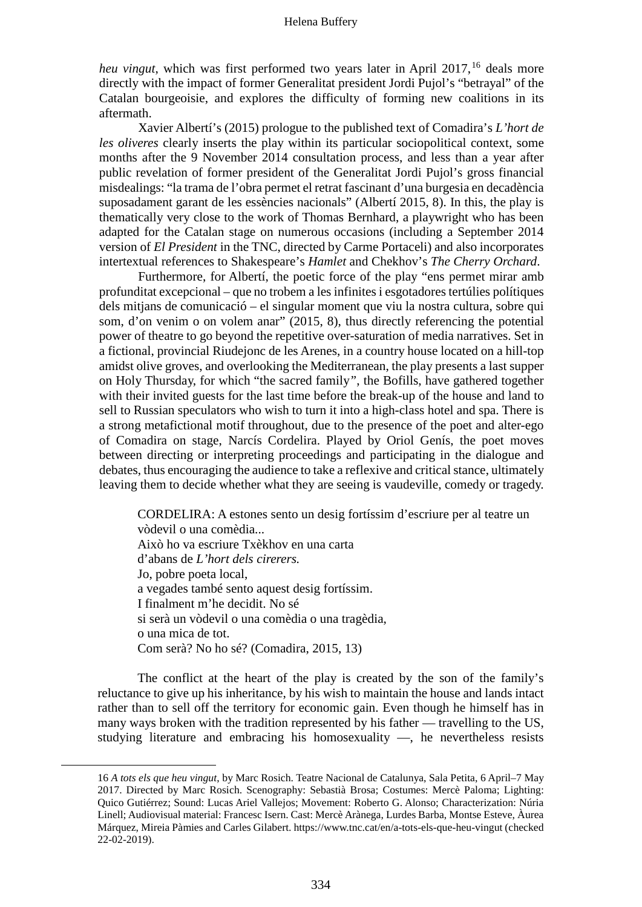*heu vingut*, which was first performed two years later in April 2017,<sup>[16](#page-9-0)</sup> deals more directly with the impact of former Generalitat president Jordi Pujol's "betrayal" of the Catalan bourgeoisie, and explores the difficulty of forming new coalitions in its aftermath.

Xavier Albertí's (2015) prologue to the published text of Comadira's *L'hort de les oliveres* clearly inserts the play within its particular sociopolitical context, some months after the 9 November 2014 consultation process, and less than a year after public revelation of former president of the Generalitat Jordi Pujol's gross financial misdealings: "la trama de l'obra permet el retrat fascinant d'una burgesia en decadència suposadament garant de les essències nacionals" (Albertí 2015, 8). In this, the play is thematically very close to the work of Thomas Bernhard, a playwright who has been adapted for the Catalan stage on numerous occasions (including a September 2014 version of *El President* in the TNC, directed by Carme Portaceli) and also incorporates intertextual references to Shakespeare's *Hamlet* and Chekhov's *The Cherry Orchard*.

Furthermore, for Albertí, the poetic force of the play "ens permet mirar amb profunditat excepcional – que no trobem a les infinites i esgotadores tertúlies polítiques dels mitjans de comunicació – el singular moment que viu la nostra cultura, sobre qui som, d'on venim o on volem anar" (2015, 8), thus directly referencing the potential power of theatre to go beyond the repetitive over-saturation of media narratives. Set in a fictional, provincial Riudejonc de les Arenes, in a country house located on a hill-top amidst olive groves, and overlooking the Mediterranean, the play presents a last supper on Holy Thursday, for which "the sacred family*"*, the Bofills, have gathered together with their invited guests for the last time before the break-up of the house and land to sell to Russian speculators who wish to turn it into a high-class hotel and spa. There is a strong metafictional motif throughout, due to the presence of the poet and alter-ego of Comadira on stage, Narcís Cordelira. Played by Oriol Genís, the poet moves between directing or interpreting proceedings and participating in the dialogue and debates, thus encouraging the audience to take a reflexive and critical stance, ultimately leaving them to decide whether what they are seeing is vaudeville, comedy or tragedy.

CORDELIRA: A estones sento un desig fortíssim d'escriure per al teatre un vòdevil o una comèdia... Això ho va escriure Txèkhov en una carta d'abans de *L'hort dels cirerers.* Jo, pobre poeta local, a vegades també sento aquest desig fortíssim. I finalment m'he decidit. No sé si serà un vòdevil o una comèdia o una tragèdia, o una mica de tot. Com serà? No ho sé? (Comadira, 2015, 13)

The conflict at the heart of the play is created by the son of the family's reluctance to give up his inheritance, by his wish to maintain the house and lands intact rather than to sell off the territory for economic gain. Even though he himself has in many ways broken with the tradition represented by his father — travelling to the US, studying literature and embracing his homosexuality —, he nevertheless resists

<span id="page-9-0"></span> <sup>16</sup> *A tots els que heu vingut*, by Marc Rosich. Teatre Nacional de Catalunya, Sala Petita, 6 April–7 May 2017. Directed by Marc Rosich. Scenography: Sebastià Brosa; Costumes: Mercè Paloma; Lighting: Quico Gutiérrez; Sound: Lucas Ariel Vallejos; Movement: Roberto G. Alonso; Characterization: Núria Linell; Audiovisual material: Francesc Isern. Cast: Mercè Arànega, Lurdes Barba, Montse Esteve, Àurea Márquez, Mireia Pàmies and Carles Gilabert. https://www.tnc.cat/en/a-tots-els-que-heu-vingut (checked 22-02-2019).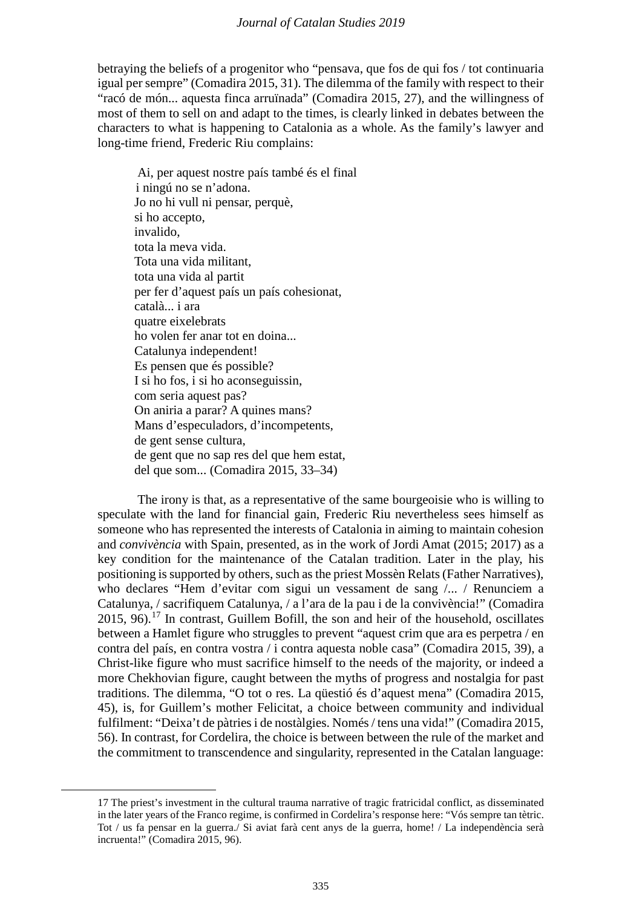# *Journal of Catalan Studies 2019*

betraying the beliefs of a progenitor who "pensava, que fos de qui fos / tot continuaria igual per sempre" (Comadira 2015, 31). The dilemma of the family with respect to their "racó de món... aquesta finca arruïnada" (Comadira 2015, 27), and the willingness of most of them to sell on and adapt to the times, is clearly linked in debates between the characters to what is happening to Catalonia as a whole. As the family's lawyer and long-time friend, Frederic Riu complains:

Ai, per aquest nostre país també és el final i ningú no se n'adona. Jo no hi vull ni pensar, perquè, si ho accepto, invalido, tota la meva vida. Tota una vida militant, tota una vida al partit per fer d'aquest país un país cohesionat, català... i ara quatre eixelebrats ho volen fer anar tot en doina... Catalunya independent! Es pensen que és possible? I si ho fos, i si ho aconseguissin, com seria aquest pas? On aniria a parar? A quines mans? Mans d'especuladors, d'incompetents, de gent sense cultura, de gent que no sap res del que hem estat, del que som... (Comadira 2015, 33–34)

The irony is that, as a representative of the same bourgeoisie who is willing to speculate with the land for financial gain, Frederic Riu nevertheless sees himself as someone who has represented the interests of Catalonia in aiming to maintain cohesion and *convivència* with Spain, presented, as in the work of Jordi Amat (2015; 2017) as a key condition for the maintenance of the Catalan tradition. Later in the play, his positioning is supported by others, such as the priest Mossèn Relats (Father Narratives), who declares "Hem d'evitar com sigui un vessament de sang /... / Renunciem a Catalunya, / sacrifiquem Catalunya, / a l'ara de la pau i de la convivència!" (Comadira  $2015$ , 96).<sup>[17](#page-10-0)</sup> In contrast, Guillem Bofill, the son and heir of the household, oscillates between a Hamlet figure who struggles to prevent "aquest crim que ara es perpetra / en contra del país, en contra vostra / i contra aquesta noble casa" (Comadira 2015, 39), a Christ-like figure who must sacrifice himself to the needs of the majority, or indeed a more Chekhovian figure, caught between the myths of progress and nostalgia for past traditions. The dilemma, "O tot o res. La qüestió és d'aquest mena" (Comadira 2015, 45), is, for Guillem's mother Felicitat, a choice between community and individual fulfilment: "Deixa't de pàtries i de nostàlgies. Només/ tens una vida!" (Comadira 2015, 56). In contrast, for Cordelira, the choice is between between the rule of the market and the commitment to transcendence and singularity, represented in the Catalan language:

<span id="page-10-0"></span> <sup>17</sup> The priest's investment in the cultural trauma narrative of tragic fratricidal conflict, as disseminated in the later years of the Franco regime, is confirmed in Cordelira's response here: "Vós sempre tan tètric. Tot / us fa pensar en la guerra./ Si aviat farà cent anys de la guerra, home! / La independència serà incruenta!" (Comadira 2015, 96).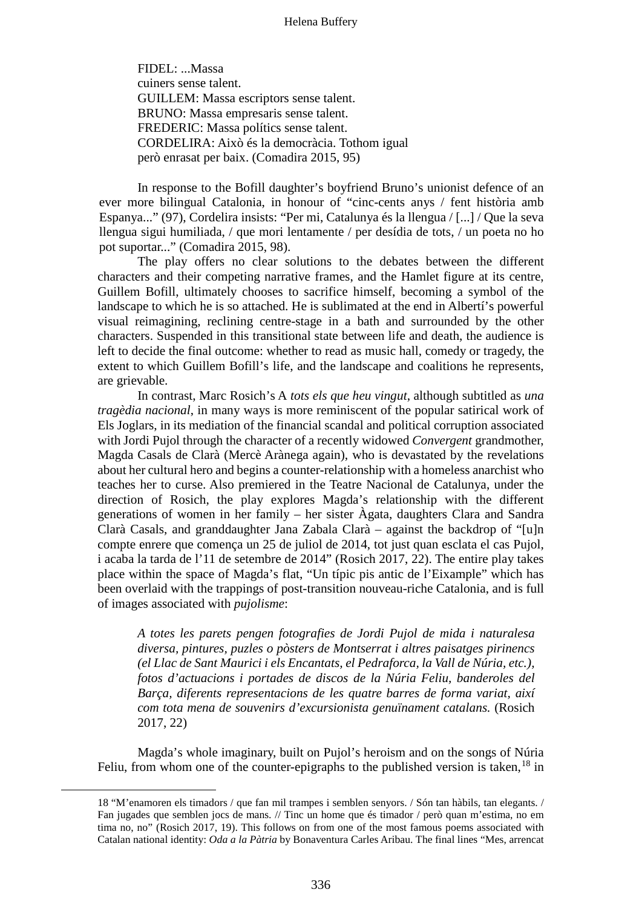FIDEL: ...Massa cuiners sense talent. GUILLEM: Massa escriptors sense talent. BRUNO: Massa empresaris sense talent. FREDERIC: Massa polítics sense talent. CORDELIRA: Això és la democràcia. Tothom igual però enrasat per baix. (Comadira 2015, 95)

In response to the Bofill daughter's boyfriend Bruno's unionist defence of an ever more bilingual Catalonia, in honour of "cinc-cents anys / fent història amb Espanya..." (97), Cordelira insists: "Per mi, Catalunya és la llengua / [...] / Que la seva llengua sigui humiliada, / que mori lentamente / per desídia de tots, / un poeta no ho pot suportar..." (Comadira 2015, 98).

The play offers no clear solutions to the debates between the different characters and their competing narrative frames, and the Hamlet figure at its centre, Guillem Bofill, ultimately chooses to sacrifice himself, becoming a symbol of the landscape to which he is so attached. He is sublimated at the end in Albertí's powerful visual reimagining, reclining centre-stage in a bath and surrounded by the other characters. Suspended in this transitional state between life and death, the audience is left to decide the final outcome: whether to read as music hall, comedy or tragedy, the extent to which Guillem Bofill's life, and the landscape and coalitions he represents, are grievable.

In contrast, Marc Rosich's A *tots els que heu vingut*, although subtitled as *una tragèdia nacional*, in many ways is more reminiscent of the popular satirical work of Els Joglars, in its mediation of the financial scandal and political corruption associated with Jordi Pujol through the character of a recently widowed *Convergent* grandmother, Magda Casals de Clarà (Mercè Arànega again), who is devastated by the revelations about her cultural hero and begins a counter-relationship with a homeless anarchist who teaches her to curse. Also premiered in the Teatre Nacional de Catalunya, under the direction of Rosich, the play explores Magda's relationship with the different generations of women in her family – her sister Àgata, daughters Clara and Sandra Clarà Casals, and granddaughter Jana Zabala Clarà – against the backdrop of "[u]n compte enrere que comença un 25 de juliol de 2014, tot just quan esclata el cas Pujol, i acaba la tarda de l'11 de setembre de 2014" (Rosich 2017, 22). The entire play takes place within the space of Magda's flat, "Un típic pis antic de l'Eixample" which has been overlaid with the trappings of post-transition nouveau-riche Catalonia, and is full of images associated with *pujolisme*:

*A totes les parets pengen fotografies de Jordi Pujol de mida i naturalesa diversa, pintures, puzles o pòsters de Montserrat i altres paisatges pirinencs (el Llac de Sant Maurici i els Encantats, el Pedraforca, la Vall de Núria, etc.), fotos d'actuacions i portades de discos de la Núria Feliu, banderoles del Barça, diferents representacions de les quatre barres de forma variat, així com tota mena de souvenirs d'excursionista genuïnament catalans.* (Rosich 2017, 22)

Magda's whole imaginary, built on Pujol's heroism and on the songs of Núria Feliu, from whom one of the counter-epigraphs to the published version is taken,  $18$  in

<span id="page-11-0"></span> <sup>18</sup> "M'enamoren els timadors / que fan mil trampes i semblen senyors. / Són tan hàbils, tan elegants. / Fan jugades que semblen jocs de mans. // Tinc un home que és timador / però quan m'estima, no em tima no, no" (Rosich 2017, 19). This follows on from one of the most famous poems associated with Catalan national identity: *Oda a la Pàtria* by Bonaventura Carles Aribau. The final lines "Mes, arrencat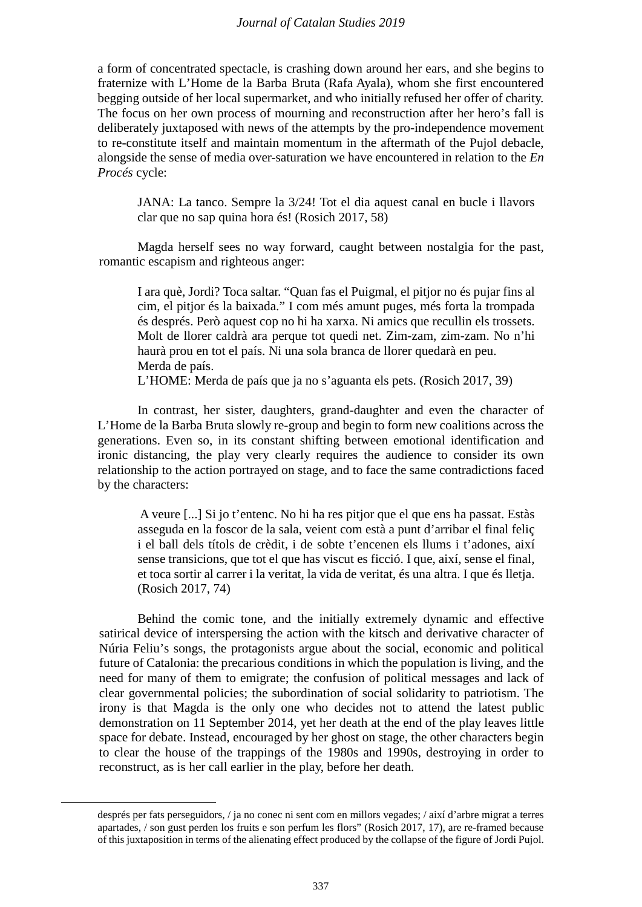a form of concentrated spectacle, is crashing down around her ears, and she begins to fraternize with L'Home de la Barba Bruta (Rafa Ayala), whom she first encountered begging outside of her local supermarket, and who initially refused her offer of charity. The focus on her own process of mourning and reconstruction after her hero's fall is deliberately juxtaposed with news of the attempts by the pro-independence movement to re-constitute itself and maintain momentum in the aftermath of the Pujol debacle, alongside the sense of media over-saturation we have encountered in relation to the *En Procés* cycle:

JANA: La tanco. Sempre la 3/24! Tot el dia aquest canal en bucle i llavors clar que no sap quina hora és! (Rosich 2017, 58)

Magda herself sees no way forward, caught between nostalgia for the past, romantic escapism and righteous anger:

I ara què, Jordi? Toca saltar. "Quan fas el Puigmal, el pitjor no és pujar fins al cim, el pitjor és la baixada." I com més amunt puges, més forta la trompada és després. Però aquest cop no hi ha xarxa. Ni amics que recullin els trossets. Molt de llorer caldrà ara perque tot quedi net. Zim-zam, zim-zam. No n'hi haurà prou en tot el país. Ni una sola branca de llorer quedarà en peu. Merda de país.

L'HOME: Merda de país que ja no s'aguanta els pets. (Rosich 2017, 39)

In contrast, her sister, daughters, grand-daughter and even the character of L'Home de la Barba Bruta slowly re-group and begin to form new coalitions across the generations. Even so, in its constant shifting between emotional identification and ironic distancing, the play very clearly requires the audience to consider its own relationship to the action portrayed on stage, and to face the same contradictions faced by the characters:

A veure [...] Si jo t'entenc. No hi ha res pitjor que el que ens ha passat. Estàs asseguda en la foscor de la sala, veient com està a punt d'arribar el final feliç i el ball dels títols de crèdit, i de sobte t'encenen els llums i t'adones, així sense transicions, que tot el que has viscut es ficció. I que, així, sense el final, et toca sortir al carrer i la veritat, la vida de veritat, és una altra. I que és lletja. (Rosich 2017, 74)

Behind the comic tone, and the initially extremely dynamic and effective satirical device of interspersing the action with the kitsch and derivative character of Núria Feliu's songs, the protagonists argue about the social, economic and political future of Catalonia: the precarious conditions in which the population is living, and the need for many of them to emigrate; the confusion of political messages and lack of clear governmental policies; the subordination of social solidarity to patriotism. The irony is that Magda is the only one who decides not to attend the latest public demonstration on 11 September 2014, yet her death at the end of the play leaves little space for debate. Instead, encouraged by her ghost on stage, the other characters begin to clear the house of the trappings of the 1980s and 1990s, destroying in order to reconstruct, as is her call earlier in the play, before her death.

després per fats perseguidors, / ja no conec ni sent com en millors vegades; / així d'arbre migrat a terres apartades, / son gust perden los fruits e son perfum les flors" (Rosich 2017, 17), are re-framed because of this juxtaposition in terms of the alienating effect produced by the collapse of the figure of Jordi Pujol.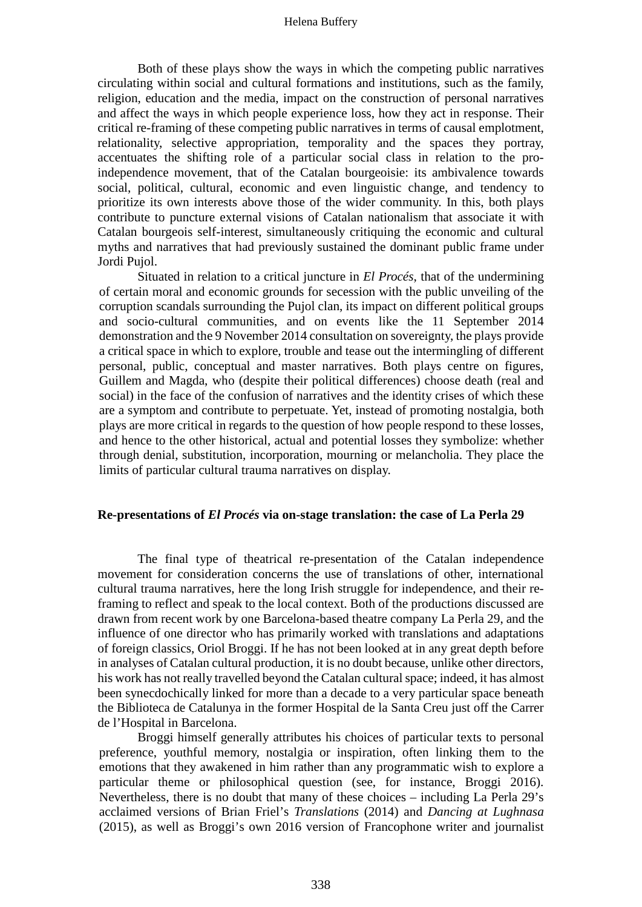Both of these plays show the ways in which the competing public narratives circulating within social and cultural formations and institutions, such as the family, religion, education and the media, impact on the construction of personal narratives and affect the ways in which people experience loss, how they act in response. Their critical re-framing of these competing public narratives in terms of causal emplotment, relationality, selective appropriation, temporality and the spaces they portray, accentuates the shifting role of a particular social class in relation to the proindependence movement, that of the Catalan bourgeoisie: its ambivalence towards social, political, cultural, economic and even linguistic change, and tendency to prioritize its own interests above those of the wider community. In this, both plays contribute to puncture external visions of Catalan nationalism that associate it with Catalan bourgeois self-interest, simultaneously critiquing the economic and cultural myths and narratives that had previously sustained the dominant public frame under Jordi Pujol.

Situated in relation to a critical juncture in *El Procés*, that of the undermining of certain moral and economic grounds for secession with the public unveiling of the corruption scandals surrounding the Pujol clan, its impact on different political groups and socio-cultural communities, and on events like the 11 September 2014 demonstration and the 9 November 2014 consultation on sovereignty, the plays provide a critical space in which to explore, trouble and tease out the intermingling of different personal, public, conceptual and master narratives. Both plays centre on figures, Guillem and Magda, who (despite their political differences) choose death (real and social) in the face of the confusion of narratives and the identity crises of which these are a symptom and contribute to perpetuate. Yet, instead of promoting nostalgia, both plays are more critical in regards to the question of how people respond to these losses, and hence to the other historical, actual and potential losses they symbolize: whether through denial, substitution, incorporation, mourning or melancholia. They place the limits of particular cultural trauma narratives on display.

# **Re-presentations of** *El Procés* **via on-stage translation: the case of La Perla 29**

The final type of theatrical re-presentation of the Catalan independence movement for consideration concerns the use of translations of other, international cultural trauma narratives, here the long Irish struggle for independence, and their reframing to reflect and speak to the local context. Both of the productions discussed are drawn from recent work by one Barcelona-based theatre company La Perla 29, and the influence of one director who has primarily worked with translations and adaptations of foreign classics, Oriol Broggi. If he has not been looked at in any great depth before in analyses of Catalan cultural production, it is no doubt because, unlike other directors, his work has not really travelled beyond the Catalan cultural space; indeed, it has almost been synecdochically linked for more than a decade to a very particular space beneath the Biblioteca de Catalunya in the former Hospital de la Santa Creu just off the Carrer de l'Hospital in Barcelona.

Broggi himself generally attributes his choices of particular texts to personal preference, youthful memory, nostalgia or inspiration, often linking them to the emotions that they awakened in him rather than any programmatic wish to explore a particular theme or philosophical question (see, for instance, Broggi 2016). Nevertheless, there is no doubt that many of these choices – including La Perla 29's acclaimed versions of Brian Friel's *Translations* (2014) and *Dancing at Lughnasa*  (2015), as well as Broggi's own 2016 version of Francophone writer and journalist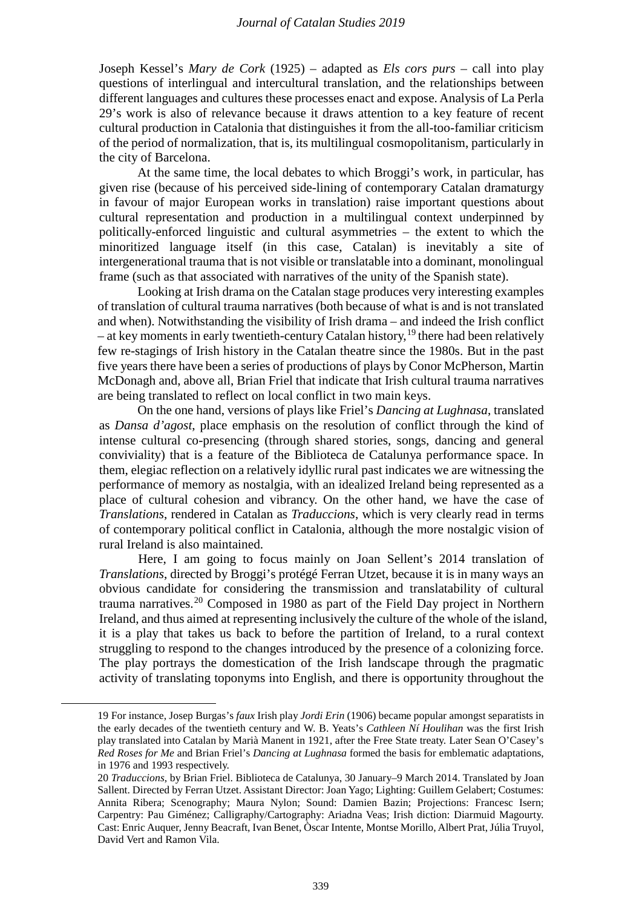Joseph Kessel's *Mary de Cork* (1925) – adapted as *Els cors purs* – call into play questions of interlingual and intercultural translation, and the relationships between different languages and cultures these processes enact and expose. Analysis of La Perla 29's work is also of relevance because it draws attention to a key feature of recent cultural production in Catalonia that distinguishes it from the all-too-familiar criticism of the period of normalization, that is, its multilingual cosmopolitanism, particularly in the city of Barcelona.

At the same time, the local debates to which Broggi's work, in particular, has given rise (because of his perceived side-lining of contemporary Catalan dramaturgy in favour of major European works in translation) raise important questions about cultural representation and production in a multilingual context underpinned by politically-enforced linguistic and cultural asymmetries – the extent to which the minoritized language itself (in this case, Catalan) is inevitably a site of intergenerational trauma that is not visible or translatable into a dominant, monolingual frame (such as that associated with narratives of the unity of the Spanish state).

Looking at Irish drama on the Catalan stage produces very interesting examples of translation of cultural trauma narratives (both because of what is and is not translated and when). Notwithstanding the visibility of Irish drama – and indeed the Irish conflict – at key moments in early twentieth-century Catalan history,  $19$  there had been relatively few re-stagings of Irish history in the Catalan theatre since the 1980s. But in the past five years there have been a series of productions of plays by Conor McPherson, Martin McDonagh and, above all, Brian Friel that indicate that Irish cultural trauma narratives are being translated to reflect on local conflict in two main keys.

On the one hand, versions of plays like Friel's *Dancing at Lughnasa*, translated as *Dansa d'agost*, place emphasis on the resolution of conflict through the kind of intense cultural co-presencing (through shared stories, songs, dancing and general conviviality) that is a feature of the Biblioteca de Catalunya performance space. In them, elegiac reflection on a relatively idyllic rural past indicates we are witnessing the performance of memory as nostalgia, with an idealized Ireland being represented as a place of cultural cohesion and vibrancy. On the other hand, we have the case of *Translations*, rendered in Catalan as *Traduccions*, which is very clearly read in terms of contemporary political conflict in Catalonia, although the more nostalgic vision of rural Ireland is also maintained.

Here, I am going to focus mainly on Joan Sellent's 2014 translation of *Translations*, directed by Broggi's protégé Ferran Utzet, because it is in many ways an obvious candidate for considering the transmission and translatability of cultural trauma narratives.[20](#page-14-1) Composed in 1980 as part of the Field Day project in Northern Ireland, and thus aimed at representing inclusively the culture of the whole of the island, it is a play that takes us back to before the partition of Ireland, to a rural context struggling to respond to the changes introduced by the presence of a colonizing force. The play portrays the domestication of the Irish landscape through the pragmatic activity of translating toponyms into English, and there is opportunity throughout the

<span id="page-14-0"></span><u>.</u>

<sup>19</sup> For instance, Josep Burgas's *faux* Irish play *Jordi Erin* (1906) became popular amongst separatists in the early decades of the twentieth century and W. B. Yeats's *Cathleen Ní Houlihan* was the first Irish play translated into Catalan by Marià Manent in 1921, after the Free State treaty. Later Sean O'Casey's *Red Roses for Me* and Brian Friel's *Dancing at Lughnasa* formed the basis for emblematic adaptations, in 1976 and 1993 respectively.

<span id="page-14-1"></span><sup>20</sup> *Traduccions*, by Brian Friel. Biblioteca de Catalunya, 30 January–9 March 2014. Translated by Joan Sallent. Directed by Ferran Utzet. Assistant Director: Joan Yago; Lighting: Guillem Gelabert; Costumes: Annita Ribera; Scenography; Maura Nylon; Sound: Damien Bazin; Projections: Francesc Isern; Carpentry: Pau Giménez; Calligraphy/Cartography: Ariadna Veas; Irish diction: Diarmuid Magourty. Cast: Enric Auquer, Jenny Beacraft, Ivan Benet, Òscar Intente, Montse Morillo, Albert Prat, Júlia Truyol, David Vert and Ramon Vila.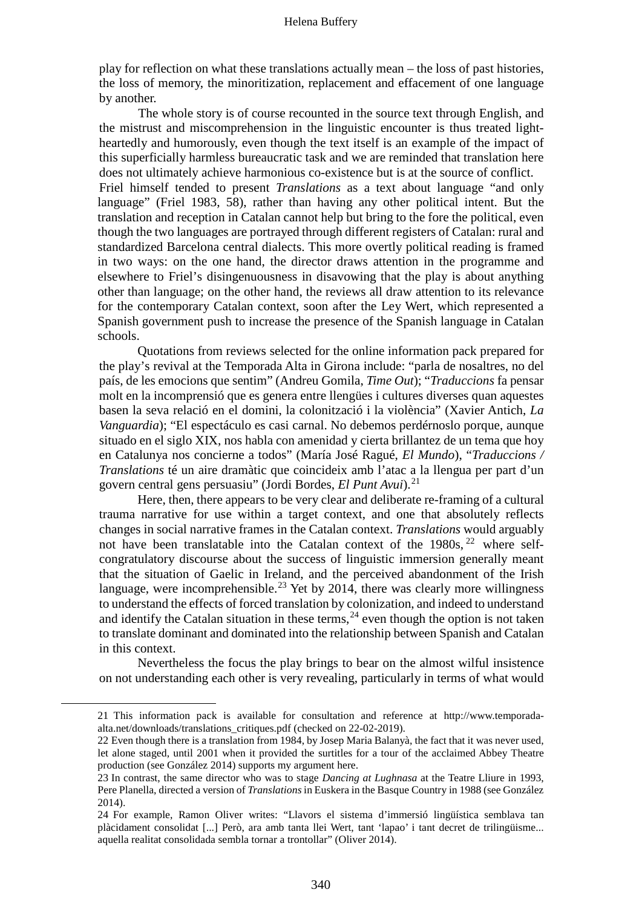play for reflection on what these translations actually mean – the loss of past histories, the loss of memory, the minoritization, replacement and effacement of one language by another.

The whole story is of course recounted in the source text through English, and the mistrust and miscomprehension in the linguistic encounter is thus treated lightheartedly and humorously, even though the text itself is an example of the impact of this superficially harmless bureaucratic task and we are reminded that translation here does not ultimately achieve harmonious co-existence but is at the source of conflict. Friel himself tended to present *Translations* as a text about language "and only language" (Friel 1983, 58), rather than having any other political intent. But the translation and reception in Catalan cannot help but bring to the fore the political, even though the two languages are portrayed through different registers of Catalan: rural and standardized Barcelona central dialects. This more overtly political reading is framed in two ways: on the one hand, the director draws attention in the programme and elsewhere to Friel's disingenuousness in disavowing that the play is about anything other than language; on the other hand, the reviews all draw attention to its relevance for the contemporary Catalan context, soon after the Ley Wert, which represented a Spanish government push to increase the presence of the Spanish language in Catalan schools.

Quotations from reviews selected for the online information pack prepared for the play's revival at the Temporada Alta in Girona include: "parla de nosaltres, no del país, de les emocions que sentim" (Andreu Gomila, *Time Out*); "*Traduccions* fa pensar molt en la incomprensió que es genera entre llengües i cultures diverses quan aquestes basen la seva relació en el domini, la colonització i la violència" (Xavier Antich, *La Vanguardia*); "El espectáculo es casi carnal. No debemos perdérnoslo porque, aunque situado en el siglo XIX, nos habla con amenidad y cierta brillantez de un tema que hoy en Catalunya nos concierne a todos" (María José Ragué, *El Mundo*), "*Traduccions / Translations* té un aire dramàtic que coincideix amb l'atac a la llengua per part d'un govern central gens persuasiu" (Jordi Bordes, *El Punt Avui*).[21](#page-15-0)

Here, then, there appears to be very clear and deliberate re-framing of a cultural trauma narrative for use within a target context, and one that absolutely reflects changes in social narrative frames in the Catalan context. *Translations* would arguably not have been translatable into the Catalan context of the  $1980s$ ,  $22$  where selfcongratulatory discourse about the success of linguistic immersion generally meant that the situation of Gaelic in Ireland, and the perceived abandonment of the Irish language, were incomprehensible.<sup>[23](#page-15-2)</sup> Yet by 2014, there was clearly more willingness to understand the effects of forced translation by colonization, and indeed to understand and identify the Catalan situation in these terms,  $^{24}$  $^{24}$  $^{24}$  even though the option is not taken to translate dominant and dominated into the relationship between Spanish and Catalan in this context.

Nevertheless the focus the play brings to bear on the almost wilful insistence on not understanding each other is very revealing, particularly in terms of what would

<span id="page-15-1"></span><span id="page-15-0"></span><u>.</u>

<sup>21</sup> This information pack is available for consultation and reference at http://www.temporadaalta.net/downloads/translations\_critiques.pdf (checked on 22-02-2019).

<sup>22</sup> Even though there is a translation from 1984, by Josep Maria Balanyà, the fact that it was never used, let alone staged, until 2001 when it provided the surtitles for a tour of the acclaimed Abbey Theatre production (see González 2014) supports my argument here.

<span id="page-15-2"></span><sup>23</sup> In contrast, the same director who was to stage *Dancing at Lughnasa* at the Teatre Lliure in 1993, Pere Planella, directed a version of *Translations* in Euskera in the Basque Country in 1988 (see González 2014).

<span id="page-15-3"></span><sup>24</sup> For example, Ramon Oliver writes: "Llavors el sistema d'immersió lingüística semblava tan plàcidament consolidat [...] Però, ara amb tanta llei Wert, tant 'lapao' i tant decret de trilingüisme... aquella realitat consolidada sembla tornar a trontollar" (Oliver 2014).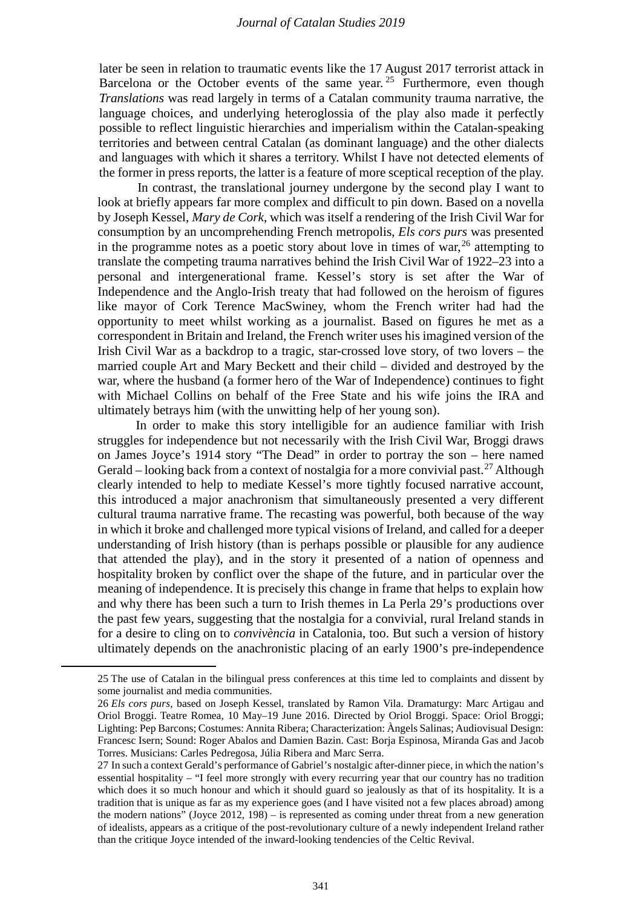later be seen in relation to traumatic events like the 17 August 2017 terrorist attack in Barcelona or the October events of the same year.  $25$  Furthermore, even though *Translations* was read largely in terms of a Catalan community trauma narrative, the language choices, and underlying heteroglossia of the play also made it perfectly possible to reflect linguistic hierarchies and imperialism within the Catalan-speaking territories and between central Catalan (as dominant language) and the other dialects and languages with which it shares a territory. Whilst I have not detected elements of the former in press reports, the latter is a feature of more sceptical reception of the play.

In contrast, the translational journey undergone by the second play I want to look at briefly appears far more complex and difficult to pin down. Based on a novella by Joseph Kessel, *Mary de Cork*, which was itself a rendering of the Irish Civil War for consumption by an uncomprehending French metropolis, *Els cors purs* was presented in the programme notes as a poetic story about love in times of war,  $^{26}$  $^{26}$  $^{26}$  attempting to translate the competing trauma narratives behind the Irish Civil War of 1922–23 into a personal and intergenerational frame. Kessel's story is set after the War of Independence and the Anglo-Irish treaty that had followed on the heroism of figures like mayor of Cork Terence MacSwiney, whom the French writer had had the opportunity to meet whilst working as a journalist. Based on figures he met as a correspondent in Britain and Ireland, the French writer uses his imagined version of the Irish Civil War as a backdrop to a tragic, star-crossed love story, of two lovers – the married couple Art and Mary Beckett and their child – divided and destroyed by the war, where the husband (a former hero of the War of Independence) continues to fight with Michael Collins on behalf of the Free State and his wife joins the IRA and ultimately betrays him (with the unwitting help of her young son).

In order to make this story intelligible for an audience familiar with Irish struggles for independence but not necessarily with the Irish Civil War, Broggi draws on James Joyce's 1914 story "The Dead" in order to portray the son – here named Gerald – looking back from a context of nostalgia for a more convivial past.<sup>[27](#page-16-2)</sup> Although clearly intended to help to mediate Kessel's more tightly focused narrative account, this introduced a major anachronism that simultaneously presented a very different cultural trauma narrative frame. The recasting was powerful, both because of the way in which it broke and challenged more typical visions of Ireland, and called for a deeper understanding of Irish history (than is perhaps possible or plausible for any audience that attended the play), and in the story it presented of a nation of openness and hospitality broken by conflict over the shape of the future, and in particular over the meaning of independence. It is precisely this change in frame that helps to explain how and why there has been such a turn to Irish themes in La Perla 29's productions over the past few years, suggesting that the nostalgia for a convivial, rural Ireland stands in for a desire to cling on to *convivència* in Catalonia, too. But such a version of history ultimately depends on the anachronistic placing of an early 1900's pre-independence

<span id="page-16-0"></span> <sup>25</sup> The use of Catalan in the bilingual press conferences at this time led to complaints and dissent by some journalist and media communities.

<span id="page-16-1"></span><sup>26</sup> *Els cors purs*, based on Joseph Kessel, translated by Ramon Vila. Dramaturgy: Marc Artigau and Oriol Broggi. Teatre Romea, 10 May–19 June 2016. Directed by Oriol Broggi. Space: Oriol Broggi; Lighting: Pep Barcons; Costumes: Annita Ribera; Characterization: Àngels Salinas; Audiovisual Design: Francesc Isern; Sound: Roger Abalos and Damien Bazin. Cast: Borja Espinosa, Miranda Gas and Jacob Torres. Musicians: Carles Pedregosa, Júlia Ribera and Marc Serra.

<span id="page-16-2"></span><sup>27</sup> In such a context Gerald's performance of Gabriel's nostalgic after-dinner piece, in which the nation's essential hospitality – "I feel more strongly with every recurring year that our country has no tradition which does it so much honour and which it should guard so jealously as that of its hospitality. It is a tradition that is unique as far as my experience goes (and I have visited not a few places abroad) among the modern nations" (Joyce 2012, 198) – is represented as coming under threat from a new generation of idealists, appears as a critique of the post-revolutionary culture of a newly independent Ireland rather than the critique Joyce intended of the inward-looking tendencies of the Celtic Revival.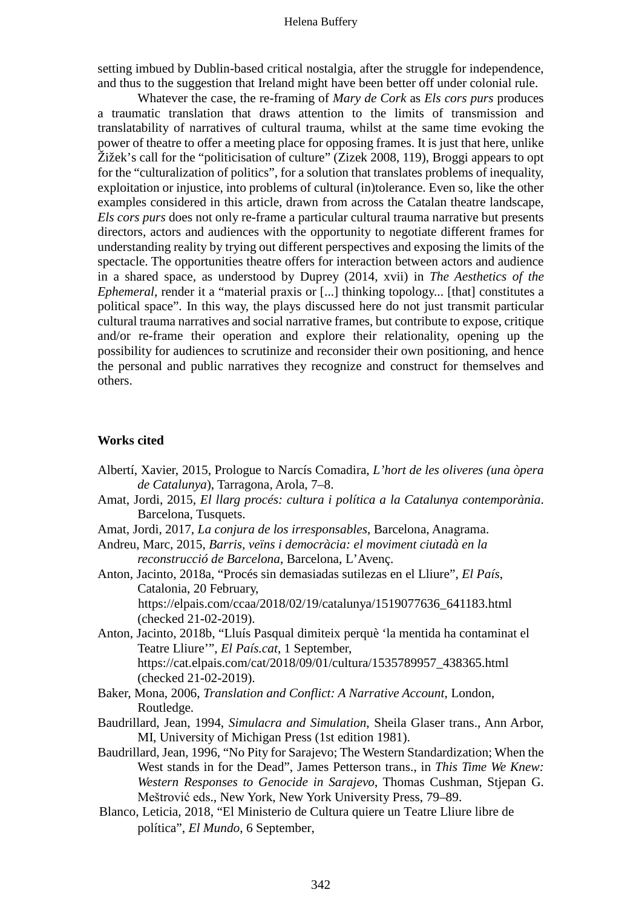setting imbued by Dublin-based critical nostalgia, after the struggle for independence, and thus to the suggestion that Ireland might have been better off under colonial rule.

Whatever the case, the re-framing of *Mary de Cork* as *Els cors purs* produces a traumatic translation that draws attention to the limits of transmission and translatability of narratives of cultural trauma, whilst at the same time evoking the power of theatre to offer a meeting place for opposing frames. It is just that here, unlike Žižek's call for the "politicisation of culture" (Zizek 2008, 119), Broggi appears to opt for the "culturalization of politics", for a solution that translates problems of inequality, exploitation or injustice, into problems of cultural (in)tolerance. Even so, like the other examples considered in this article, drawn from across the Catalan theatre landscape, *Els cors purs* does not only re-frame a particular cultural trauma narrative but presents directors, actors and audiences with the opportunity to negotiate different frames for understanding reality by trying out different perspectives and exposing the limits of the spectacle. The opportunities theatre offers for interaction between actors and audience in a shared space, as understood by Duprey (2014, xvii) in *The Aesthetics of the Ephemeral*, render it a "material praxis or [...] thinking topology... [that] constitutes a political space". In this way, the plays discussed here do not just transmit particular cultural trauma narratives and social narrative frames, but contribute to expose, critique and/or re-frame their operation and explore their relationality, opening up the possibility for audiences to scrutinize and reconsider their own positioning, and hence the personal and public narratives they recognize and construct for themselves and others.

# **Works cited**

- Albertí, Xavier, 2015, Prologue to Narcís Comadira, *L'hort de les oliveres (una òpera de Catalunya*), Tarragona, Arola, 7–8.
- Amat, Jordi, 2015, *El llarg procés: cultura i política a la Catalunya contemporània*. Barcelona, Tusquets.
- Amat, Jordi, 2017, *La conjura de los irresponsables*, Barcelona, Anagrama.
- Andreu, Marc, 2015, *Barris, veïns i democràcia: el moviment ciutadà en la reconstrucció de Barcelona*, Barcelona, L'Avenç.
- Anton, Jacinto, 2018a, "Procés sin demasiadas sutilezas en el Lliure", *El País*, Catalonia, 20 February, https://elpais.com/ccaa/2018/02/19/catalunya/1519077636\_641183.html
	- (checked 21-02-2019).
- Anton, Jacinto, 2018b, "Lluís Pasqual dimiteix perquè 'la mentida ha contaminat el Teatre Lliure'", *El País.cat*, 1 September, https://cat.elpais.com/cat/2018/09/01/cultura/1535789957\_438365.html (checked 21-02-2019).
- Baker, Mona, 2006, *Translation and Conflict: A Narrative Account*, London, Routledge.
- Baudrillard, Jean, 1994, *Simulacra and Simulation*, Sheila Glaser trans., Ann Arbor, MI, University of Michigan Press (1st edition 1981).
- Baudrillard, Jean, 1996, "No Pity for Sarajevo; The Western Standardization; When the West stands in for the Dead", James Petterson trans., in *This Time We Knew: Western Responses to Genocide in Sarajevo*, Thomas Cushman, Stjepan G. Meštrović eds., New York, New York University Press, 79–89.
- Blanco, Leticia, 2018, "El Ministerio de Cultura quiere un Teatre Lliure libre de política", *El Mundo*, 6 September,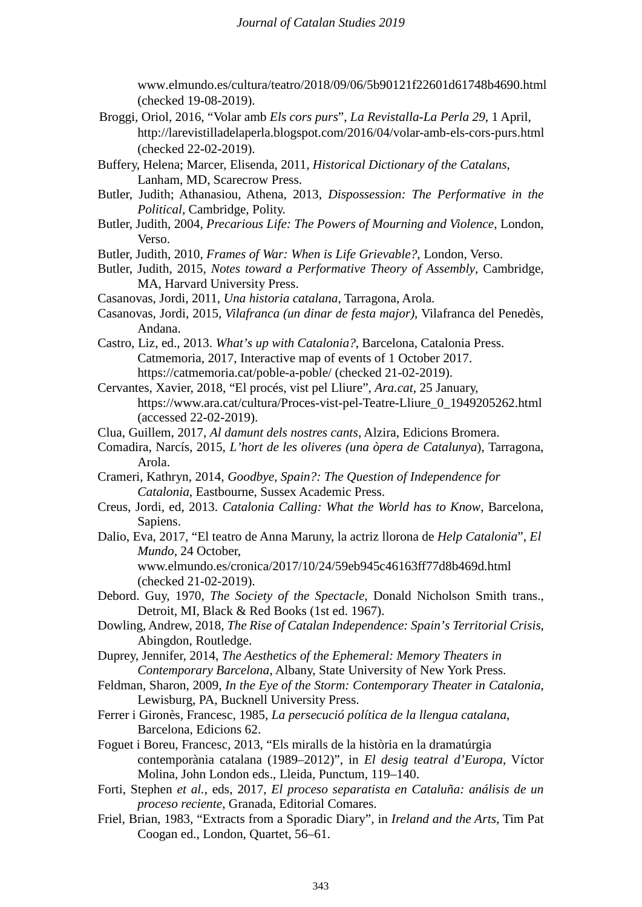www.elmundo.es/cultura/teatro/2018/09/06/5b90121f22601d61748b4690.html (checked 19-08-2019).

- Broggi, Oriol, 2016, "Volar amb *Els cors purs*", *La Revistalla-La Perla 29*, 1 April, http://larevistilladelaperla.blogspot.com/2016/04/volar-amb-els-cors-purs.html (checked 22-02-2019).
- Buffery, Helena; Marcer, Elisenda, 2011, *Historical Dictionary of the Catalans*, Lanham, MD, Scarecrow Press.
- Butler, Judith; Athanasiou, Athena, 2013, *Dispossession: The Performative in the Political*, Cambridge, Polity.
- Butler, Judith, 2004, *Precarious Life: The Powers of Mourning and Violence*, London, Verso.

Butler, Judith, 2010, *Frames of War: When is Life Grievable?*, London, Verso.

Butler, Judith, 2015, *Notes toward a Performative Theory of Assembly*, Cambridge, MA, Harvard University Press.

- Casanovas, Jordi, 2011, *Una historia catalana*, Tarragona, Arola.
- Casanovas, Jordi, 2015, *Vilafranca (un dinar de festa major)*, Vilafranca del Penedès, Andana.
- Castro, Liz, ed., 2013. *What's up with Catalonia?*, Barcelona, Catalonia Press. Catmemoria, 2017, Interactive map of events of 1 October 2017. https://catmemoria.cat/poble-a-poble/ (checked 21-02-2019).
- Cervantes, Xavier, 2018, "El procés, vist pel Lliure", *Ara.cat*, 25 January, https://www.ara.cat/cultura/Proces-vist-pel-Teatre-Lliure\_0\_1949205262.html (accessed 22-02-2019).
- Clua, Guillem, 2017, *Al damunt dels nostres cants*, Alzira, Edicions Bromera.
- Comadira, Narcís, 2015, *L'hort de les oliveres (una òpera de Catalunya*), Tarragona, Arola.
- Crameri, Kathryn, 2014, *Goodbye, Spain?: The Question of Independence for Catalonia*, Eastbourne, Sussex Academic Press.
- Creus, Jordi, ed, 2013. *Catalonia Calling: What the World has to Know*, Barcelona, Sapiens.
- Dalio, Eva, 2017, "El teatro de Anna Maruny, la actriz llorona de *Help Catalonia*", *El Mundo,* 24 October, www.elmundo.es/cronica/2017/10/24/59eb945c46163ff77d8b469d.html (checked 21-02-2019).
- Debord. Guy, 1970, *The Society of the Spectacle*, Donald Nicholson Smith trans., Detroit, MI, Black & Red Books (1st ed. 1967).
- Dowling, Andrew, 2018, *The Rise of Catalan Independence: Spain's Territorial Crisis*, Abingdon, Routledge.
- Duprey, Jennifer, 2014, *The Aesthetics of the Ephemeral: Memory Theaters in Contemporary Barcelona*, Albany, State University of New York Press.
- Feldman, Sharon, 2009, *In the Eye of the Storm: Contemporary Theater in Catalonia*, Lewisburg, PA, Bucknell University Press.
- Ferrer i Gironès, Francesc, 1985, *La persecució política de la llengua catalana*, Barcelona, Edicions 62.
- Foguet i Boreu, Francesc, 2013, "Els miralls de la història en la dramatúrgia contemporània catalana (1989–2012)", in *El desig teatral d'Europa*, Víctor Molina, John London eds., Lleida, Punctum, 119–140.
- Forti, Stephen *et al.*, eds, 2017, *El proceso separatista en Cataluña: análisis de un proceso reciente*, Granada, Editorial Comares.
- Friel, Brian, 1983, "Extracts from a Sporadic Diary", in *Ireland and the Arts*, Tim Pat Coogan ed., London, Quartet, 56–61.